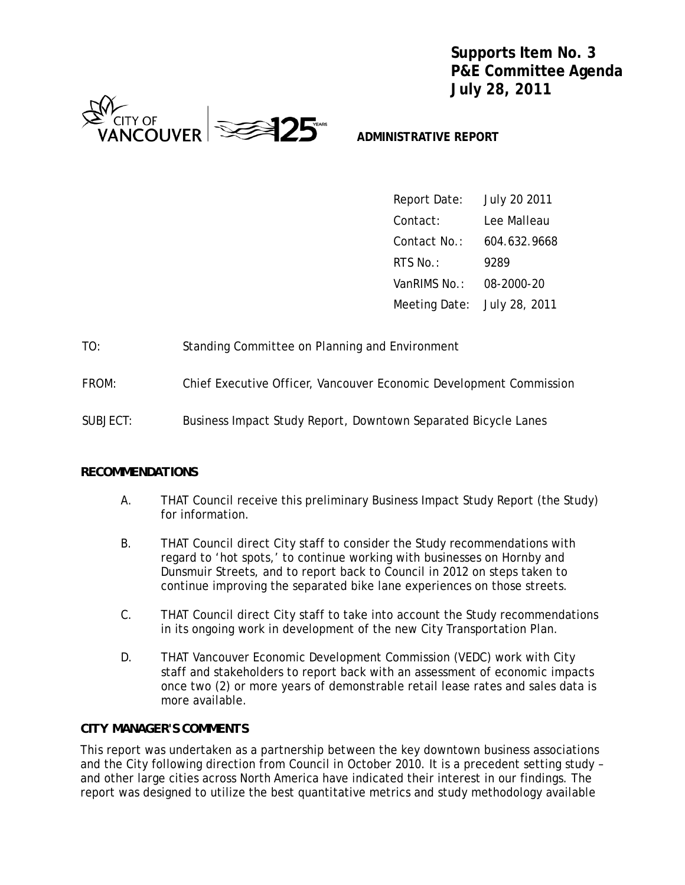**Supports Item No. 3 P&E Committee Agenda July 28, 2011**



## **ADMINISTRATIVE REPORT**

| Report Date:                | July 20 2011 |
|-----------------------------|--------------|
| Contact:                    | Lee Malleau  |
| Contact No.:                | 604.632.9668 |
| RTS No.:                    | 9289         |
| VanRIMS No.:                | 08-2000-20   |
| Meeting Date: July 28, 2011 |              |

| TO: |  | Standing Committee on Planning and Environment |  |
|-----|--|------------------------------------------------|--|
|-----|--|------------------------------------------------|--|

- FROM: Chief Executive Officer, Vancouver Economic Development Commission
- SUBJECT: Business Impact Study Report, Downtown Separated Bicycle Lanes

#### *RECOMMENDATIONS*

- A. THAT Council receive this preliminary Business Impact Study Report (the Study) for information.
- B. THAT Council direct City staff to consider the Study recommendations with regard to 'hot spots,' to continue working with businesses on Hornby and Dunsmuir Streets, and to report back to Council in 2012 on steps taken to continue improving the separated bike lane experiences on those streets.
- C. THAT Council direct City staff to take into account the Study recommendations in its ongoing work in development of the new City Transportation Plan.
- D. THAT Vancouver Economic Development Commission (VEDC) work with City staff and stakeholders to report back with an assessment of economic impacts once two (2) or more years of demonstrable retail lease rates and sales data is more available.

### *CITY MANAGER'S COMMENTS*

This report was undertaken as a partnership between the key downtown business associations and the City following direction from Council in October 2010. It is a precedent setting study – and other large cities across North America have indicated their interest in our findings. The report was designed to utilize the best quantitative metrics and study methodology available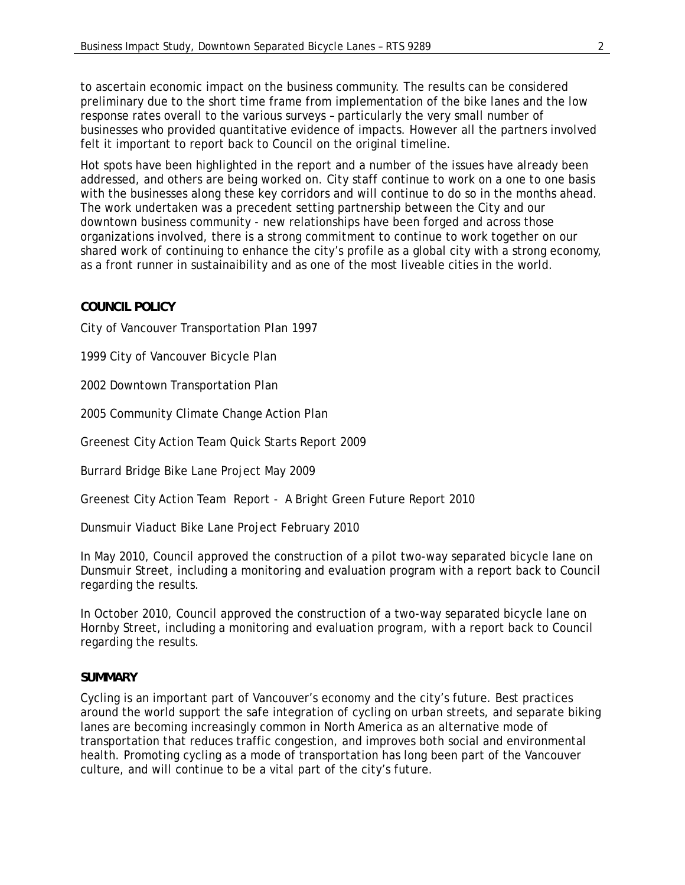to ascertain economic impact on the business community. The results can be considered preliminary due to the short time frame from implementation of the bike lanes and the low response rates overall to the various surveys – particularly the very small number of businesses who provided quantitative evidence of impacts. However all the partners involved felt it important to report back to Council on the original timeline.

Hot spots have been highlighted in the report and a number of the issues have already been addressed, and others are being worked on. City staff continue to work on a one to one basis with the businesses along these key corridors and will continue to do so in the months ahead. The work undertaken was a precedent setting partnership between the City and our downtown business community - new relationships have been forged and across those organizations involved, there is a strong commitment to continue to work together on our shared work of continuing to enhance the city's profile as a global city with a strong economy, as a front runner in sustainaibility and as one of the most liveable cities in the world.

## *COUNCIL POLICY*

City of Vancouver Transportation Plan 1997

1999 City of Vancouver Bicycle Plan

2002 Downtown Transportation Plan

2005 Community Climate Change Action Plan

Greenest City Action Team Quick Starts Report 2009

Burrard Bridge Bike Lane Project May 2009

Greenest City Action Team Report - A Bright Green Future Report 2010

Dunsmuir Viaduct Bike Lane Project February 2010

In May 2010, Council approved the construction of a pilot two-way separated bicycle lane on Dunsmuir Street, including a monitoring and evaluation program with a report back to Council regarding the results.

In October 2010, Council approved the construction of a two-way separated bicycle lane on Hornby Street, including a monitoring and evaluation program, with a report back to Council regarding the results.

### *SUMMARY*

Cycling is an important part of Vancouver's economy and the city's future. Best practices around the world support the safe integration of cycling on urban streets, and separate biking lanes are becoming increasingly common in North America as an alternative mode of transportation that reduces traffic congestion, and improves both social and environmental health. Promoting cycling as a mode of transportation has long been part of the Vancouver culture, and will continue to be a vital part of the city's future.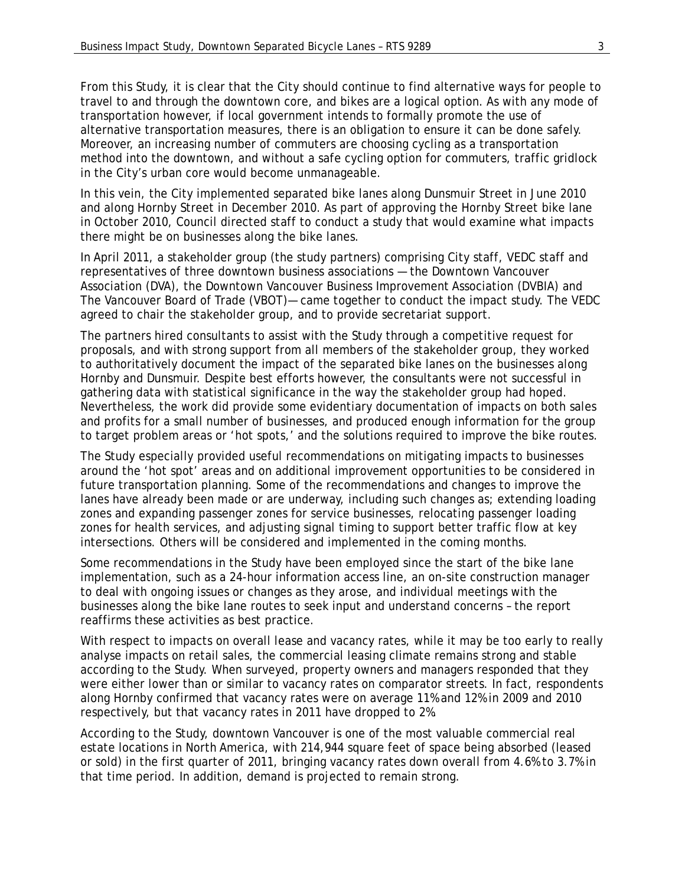From this Study, it is clear that the City should continue to find alternative ways for people to travel to and through the downtown core, and bikes are a logical option. As with any mode of transportation however, if local government intends to formally promote the use of alternative transportation measures, there is an obligation to ensure it can be done safely. Moreover, an increasing number of commuters are choosing cycling as a transportation method into the downtown, and without a safe cycling option for commuters, traffic gridlock in the City's urban core would become unmanageable.

In this vein, the City implemented separated bike lanes along Dunsmuir Street in June 2010 and along Hornby Street in December 2010. As part of approving the Hornby Street bike lane in October 2010, Council directed staff to conduct a study that would examine what impacts there might be on businesses along the bike lanes.

In April 2011, a stakeholder group (the study partners) comprising City staff, VEDC staff and representatives of three downtown business associations — the Downtown Vancouver Association (DVA), the Downtown Vancouver Business Improvement Association (DVBIA) and The Vancouver Board of Trade (VBOT)— came together to conduct the impact study. The VEDC agreed to chair the stakeholder group, and to provide secretariat support.

The partners hired consultants to assist with the Study through a competitive request for proposals, and with strong support from all members of the stakeholder group, they worked to authoritatively document the impact of the separated bike lanes on the businesses along Hornby and Dunsmuir. Despite best efforts however, the consultants were not successful in gathering data with statistical significance in the way the stakeholder group had hoped. Nevertheless, the work did provide some evidentiary documentation of impacts on both sales and profits for a small number of businesses, and produced enough information for the group to target problem areas or 'hot spots,' and the solutions required to improve the bike routes.

The Study especially provided useful recommendations on mitigating impacts to businesses around the 'hot spot' areas and on additional improvement opportunities to be considered in future transportation planning. Some of the recommendations and changes to improve the lanes have already been made or are underway, including such changes as; extending loading zones and expanding passenger zones for service businesses, relocating passenger loading zones for health services, and adjusting signal timing to support better traffic flow at key intersections. Others will be considered and implemented in the coming months.

Some recommendations in the Study have been employed since the start of the bike lane implementation, such as a 24-hour information access line, an on-site construction manager to deal with ongoing issues or changes as they arose, and individual meetings with the businesses along the bike lane routes to seek input and understand concerns – the report reaffirms these activities as best practice.

With respect to impacts on overall lease and vacancy rates, while it may be too early to really analyse impacts on retail sales, the commercial leasing climate remains strong and stable according to the Study. When surveyed, property owners and managers responded that they were either lower than or similar to vacancy rates on comparator streets. In fact, respondents along Hornby confirmed that vacancy rates were on average 11% and 12% in 2009 and 2010 respectively, but that vacancy rates in 2011 have dropped to 2%.

According to the Study, downtown Vancouver is one of the most valuable commercial real estate locations in North America, with 214,944 square feet of space being absorbed (leased or sold) in the first quarter of 2011, bringing vacancy rates down overall from 4.6% to 3.7% in that time period. In addition, demand is projected to remain strong.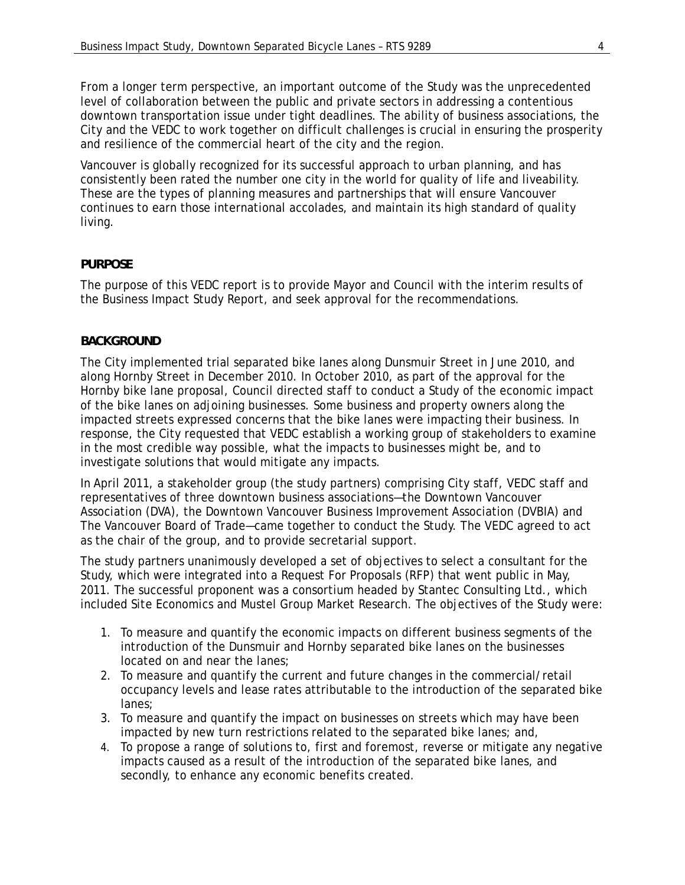From a longer term perspective, an important outcome of the Study was the unprecedented level of collaboration between the public and private sectors in addressing a contentious downtown transportation issue under tight deadlines. The ability of business associations, the City and the VEDC to work together on difficult challenges is crucial in ensuring the prosperity and resilience of the commercial heart of the city and the region.

Vancouver is globally recognized for its successful approach to urban planning, and has consistently been rated the number one city in the world for quality of life and liveability. These are the types of planning measures and partnerships that will ensure Vancouver continues to earn those international accolades, and maintain its high standard of quality living.

## *PURPOSE*

The purpose of this VEDC report is to provide Mayor and Council with the interim results of the Business Impact Study Report, and seek approval for the recommendations.

## *BACKGROUND*

The City implemented trial separated bike lanes along Dunsmuir Street in June 2010, and along Hornby Street in December 2010. In October 2010, as part of the approval for the Hornby bike lane proposal, Council directed staff to conduct a Study of the economic impact of the bike lanes on adjoining businesses. Some business and property owners along the impacted streets expressed concerns that the bike lanes were impacting their business. In response, the City requested that VEDC establish a working group of stakeholders to examine in the most credible way possible, what the impacts to businesses might be, and to investigate solutions that would mitigate any impacts.

In April 2011, a stakeholder group (the study partners) comprising City staff, VEDC staff and representatives of three downtown business associations—the Downtown Vancouver Association (DVA), the Downtown Vancouver Business Improvement Association (DVBIA) and The Vancouver Board of Trade—came together to conduct the Study. The VEDC agreed to act as the chair of the group, and to provide secretarial support.

The study partners unanimously developed a set of objectives to select a consultant for the Study, which were integrated into a Request For Proposals (RFP) that went public in May, 2011. The successful proponent was a consortium headed by Stantec Consulting Ltd., which included Site Economics and Mustel Group Market Research. The objectives of the Study were:

- 1. To measure and quantify the economic impacts on different business segments of the introduction of the Dunsmuir and Hornby separated bike lanes on the businesses located on and near the lanes;
- 2. To measure and quantify the current and future changes in the commercial/retail occupancy levels and lease rates attributable to the introduction of the separated bike lanes;
- 3. To measure and quantify the impact on businesses on streets which may have been impacted by new turn restrictions related to the separated bike lanes; and,
- 4. To propose a range of solutions to, first and foremost, reverse or mitigate any negative impacts caused as a result of the introduction of the separated bike lanes, and secondly, to enhance any economic benefits created.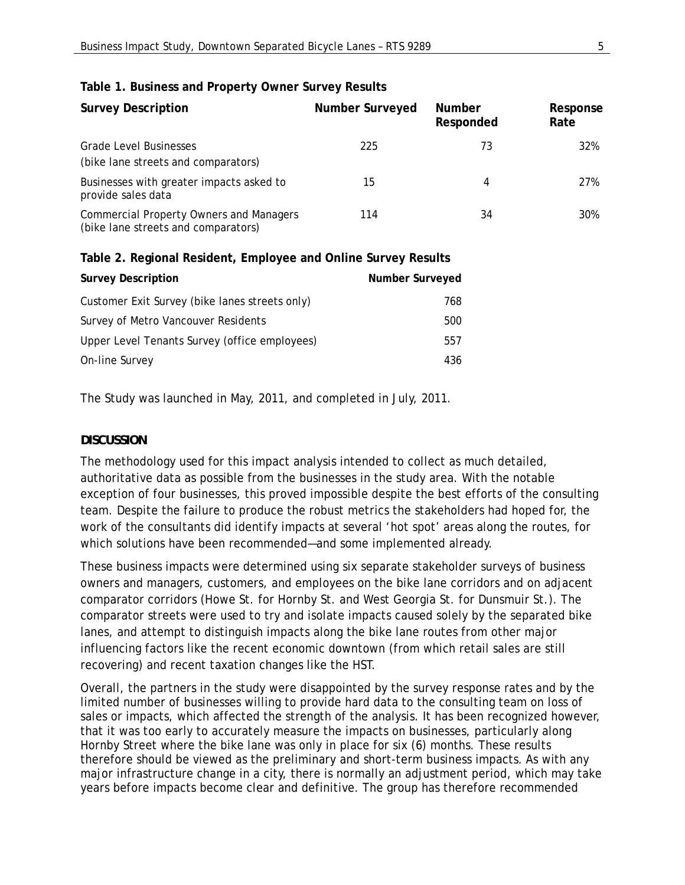| <b>Survey Description</b>                                                             | <b>Number Surveyed</b> | <b>Number</b><br>Responded | Response<br>Rate |
|---------------------------------------------------------------------------------------|------------------------|----------------------------|------------------|
| <b>Grade Level Businesses</b>                                                         | 225                    | 73                         | 32%              |
| (bike lane streets and comparators)                                                   |                        |                            |                  |
| Businesses with greater impacts asked to<br>provide sales data                        | 15                     | 4                          | 27%              |
| <b>Commercial Property Owners and Managers</b><br>(bike lane streets and comparators) | 114                    | 34                         | 30%              |

## **Table 1. Business and Property Owner Survey Results**

#### **Table 2. Regional Resident, Employee and Online Survey Results**

| <b>Survey Description</b>                      | Number Surveyed |
|------------------------------------------------|-----------------|
| Customer Exit Survey (bike lanes streets only) | 768             |
| Survey of Metro Vancouver Residents            | 500             |
| Upper Level Tenants Survey (office employees)  | 557             |
| On-line Survey                                 | 436             |

The Study was launched in May, 2011, and completed in July, 2011.

## *DISCUSSION*

The methodology used for this impact analysis intended to collect as much detailed, authoritative data as possible from the businesses in the study area. With the notable exception of four businesses, this proved impossible despite the best efforts of the consulting team. Despite the failure to produce the robust metrics the stakeholders had hoped for, the work of the consultants did identify impacts at several 'hot spot' areas along the routes, for which solutions have been recommended—and some implemented already.

These business impacts were determined using six separate stakeholder surveys of business owners and managers, customers, and employees on the bike lane corridors and on adjacent comparator corridors (Howe St. for Hornby St. and West Georgia St. for Dunsmuir St.). The comparator streets were used to try and isolate impacts caused solely by the separated bike lanes, and attempt to distinguish impacts along the bike lane routes from other major influencing factors like the recent economic downtown (from which retail sales are still recovering) and recent taxation changes like the HST.

Overall, the partners in the study were disappointed by the survey response rates and by the limited number of businesses willing to provide hard data to the consulting team on loss of sales or impacts, which affected the strength of the analysis. It has been recognized however, that it was too early to accurately measure the impacts on businesses, particularly along Hornby Street where the bike lane was only in place for six (6) months. These results therefore should be viewed as the preliminary and short-term business impacts. As with any major infrastructure change in a city, there is normally an adjustment period, which may take years before impacts become clear and definitive. The group has therefore recommended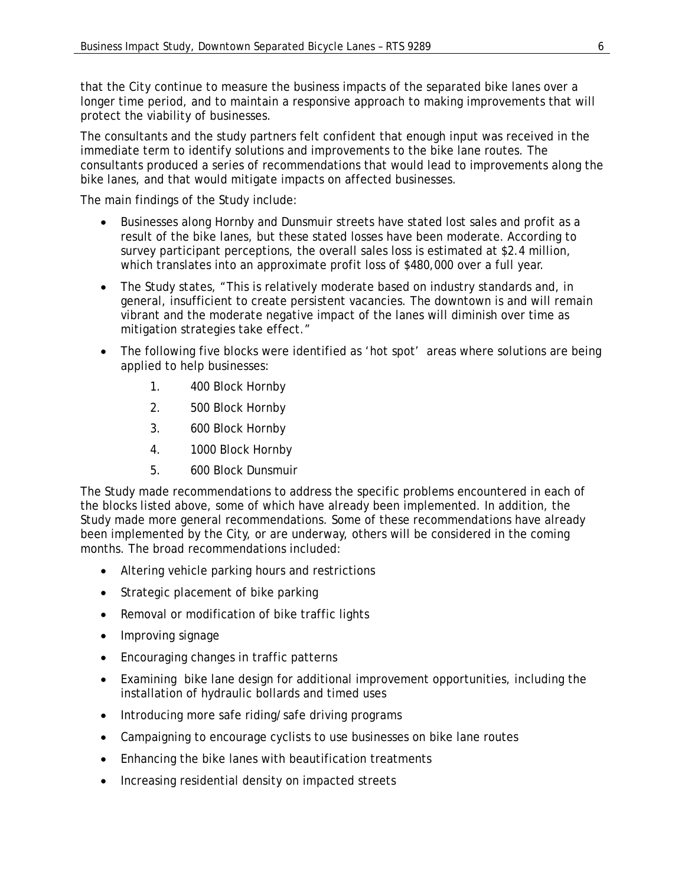that the City continue to measure the business impacts of the separated bike lanes over a longer time period, and to maintain a responsive approach to making improvements that will protect the viability of businesses.

The consultants and the study partners felt confident that enough input was received in the immediate term to identify solutions and improvements to the bike lane routes. The consultants produced a series of recommendations that would lead to improvements along the bike lanes, and that would mitigate impacts on affected businesses.

The main findings of the Study include:

- Businesses along Hornby and Dunsmuir streets have stated lost sales and profit as a result of the bike lanes, but these stated losses have been moderate. According to survey participant perceptions, the overall sales loss is estimated at \$2.4 million, which translates into an approximate profit loss of \$480,000 over a full year.
- The Study states, "This is relatively moderate based on industry standards and, in general, insufficient to create persistent vacancies. The downtown is and will remain vibrant and the moderate negative impact of the lanes will diminish over time as mitigation strategies take effect."
- The following five blocks were identified as 'hot spot' areas where solutions are being applied to help businesses:
	- 1. 400 Block Hornby
	- 2. 500 Block Hornby
	- 3. 600 Block Hornby
	- 4. 1000 Block Hornby
	- 5. 600 Block Dunsmuir

The Study made recommendations to address the specific problems encountered in each of the blocks listed above, some of which have already been implemented. In addition, the Study made more general recommendations. Some of these recommendations have already been implemented by the City, or are underway, others will be considered in the coming months. The broad recommendations included:

- Altering vehicle parking hours and restrictions
- Strategic placement of bike parking
- Removal or modification of bike traffic lights
- Improving signage
- Encouraging changes in traffic patterns
- Examining bike lane design for additional improvement opportunities, including the installation of hydraulic bollards and timed uses
- Introducing more safe riding/safe driving programs
- Campaigning to encourage cyclists to use businesses on bike lane routes
- Enhancing the bike lanes with beautification treatments
- Increasing residential density on impacted streets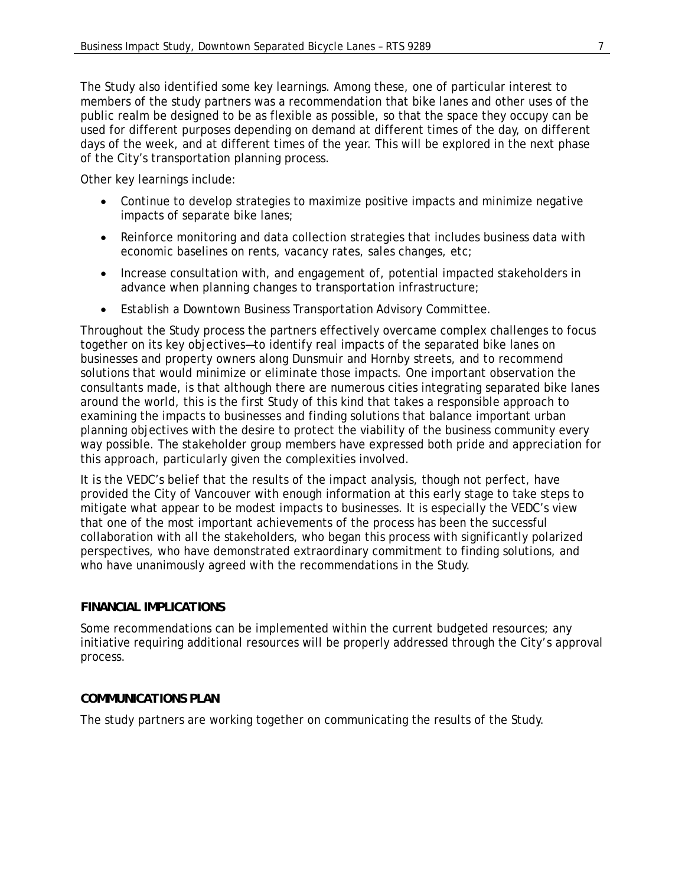The Study also identified some key learnings. Among these, one of particular interest to members of the study partners was a recommendation that bike lanes and other uses of the public realm be designed to be as flexible as possible, so that the space they occupy can be used for different purposes depending on demand at different times of the day, on different days of the week, and at different times of the year. This will be explored in the next phase of the City's transportation planning process.

Other key learnings include:

- Continue to develop strategies to maximize positive impacts and minimize negative impacts of separate bike lanes;
- Reinforce monitoring and data collection strategies that includes business data with economic baselines on rents, vacancy rates, sales changes, etc;
- Increase consultation with, and engagement of, potential impacted stakeholders in advance when planning changes to transportation infrastructure;
- Establish a Downtown Business Transportation Advisory Committee.

Throughout the Study process the partners effectively overcame complex challenges to focus together on its key objectives—to identify real impacts of the separated bike lanes on businesses and property owners along Dunsmuir and Hornby streets, and to recommend solutions that would minimize or eliminate those impacts. One important observation the consultants made, is that although there are numerous cities integrating separated bike lanes around the world, this is the first Study of this kind that takes a responsible approach to examining the impacts to businesses and finding solutions that balance important urban planning objectives with the desire to protect the viability of the business community every way possible. The stakeholder group members have expressed both pride and appreciation for this approach, particularly given the complexities involved.

It is the VEDC's belief that the results of the impact analysis, though not perfect, have provided the City of Vancouver with enough information at this early stage to take steps to mitigate what appear to be modest impacts to businesses. It is especially the VEDC's view that one of the most important achievements of the process has been the successful collaboration with all the stakeholders, who began this process with significantly polarized perspectives, who have demonstrated extraordinary commitment to finding solutions, and who have unanimously agreed with the recommendations in the Study.

# *FINANCIAL IMPLICATIONS*

Some recommendations can be implemented within the current budgeted resources; any initiative requiring additional resources will be properly addressed through the City's approval process.

# *COMMUNICATIONS PLAN*

The study partners are working together on communicating the results of the Study.